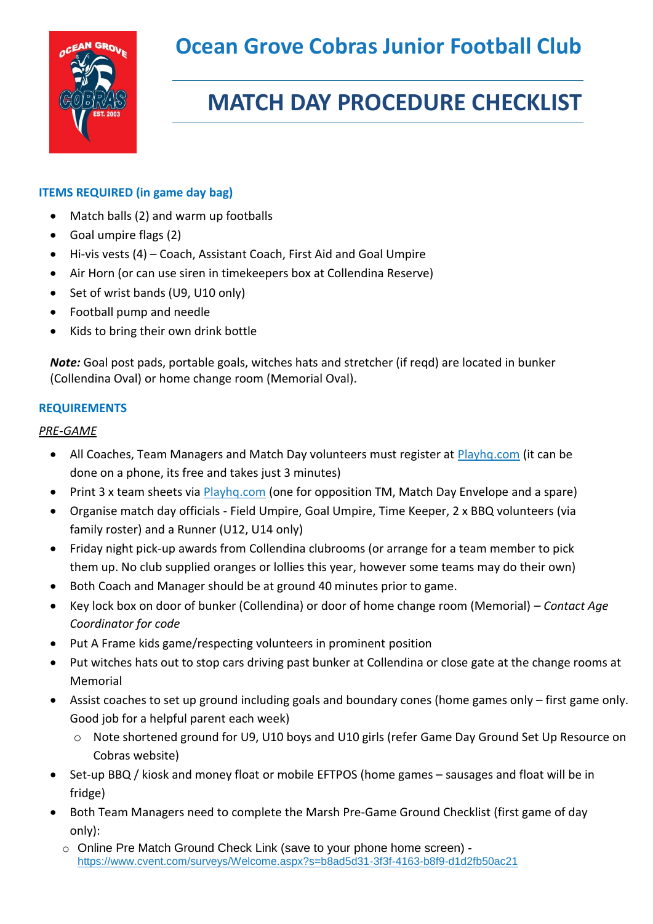

# **MATCH DAY PROCEDURE CHECKLIST**

## **ITEMS REQUIRED (in game day bag)**

- Match balls (2) and warm up footballs
- Goal umpire flags (2)
- Hi-vis vests (4) Coach, Assistant Coach, First Aid and Goal Umpire
- Air Horn (or can use siren in timekeepers box at Collendina Reserve)
- Set of wrist bands (U9, U10 only)
- Football pump and needle
- Kids to bring their own drink bottle

*Note:* Goal post pads, portable goals, witches hats and stretcher (if reqd) are located in bunker (Collendina Oval) or home change room (Memorial Oval).

#### **REQUIREMENTS**

#### *PRE-GAME*

- All Coaches, Team Managers and Match Day volunteers must register at [Playhq.com](https://www.playhq.com/) (it can be done on a phone, its free and takes just 3 minutes)
- Print 3 x team sheets via **Playhg.com** (one for opposition TM, Match Day Envelope and a spare)
- Organise match day officials Field Umpire, Goal Umpire, Time Keeper, 2 x BBQ volunteers (via family roster) and a Runner (U12, U14 only)
- Friday night pick-up awards from Collendina clubrooms (or arrange for a team member to pick them up. No club supplied oranges or lollies this year, however some teams may do their own)
- Both Coach and Manager should be at ground 40 minutes prior to game.
- Key lock box on door of bunker (Collendina) or door of home change room (Memorial) *Contact Age Coordinator for code*
- Put A Frame kids game/respecting volunteers in prominent position
- Put witches hats out to stop cars driving past bunker at Collendina or close gate at the change rooms at Memorial
- Assist coaches to set up ground including goals and boundary cones (home games only first game only. Good job for a helpful parent each week)
	- o Note shortened ground for U9, U10 boys and U10 girls (refer Game Day Ground Set Up Resource on Cobras website)
- Set-up BBQ / kiosk and money float or mobile EFTPOS (home games sausages and float will be in fridge)
- Both Team Managers need to complete the Marsh Pre-Game Ground Checklist (first game of day only):
	- o Online Pre Match Ground Check Link (save to your phone home screen) <https://www.cvent.com/surveys/Welcome.aspx?s=b8ad5d31-3f3f-4163-b8f9-d1d2fb50ac21>